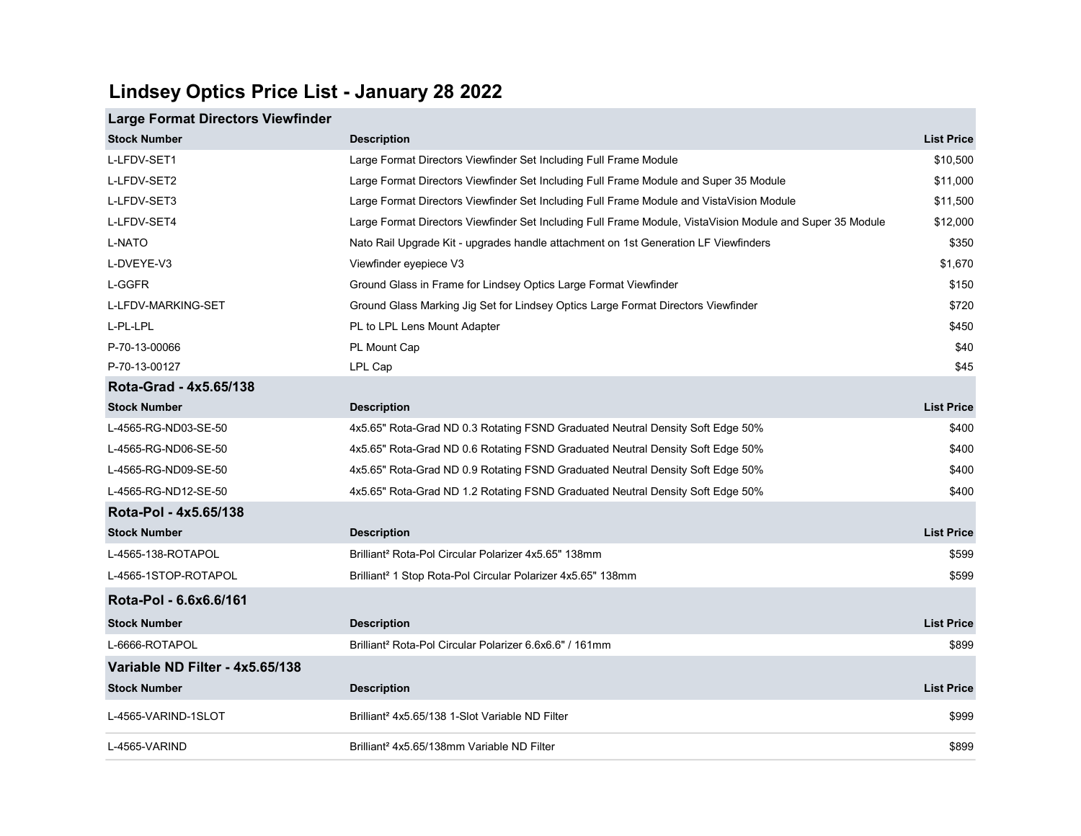## Lindsey Optics Price List - January 28 2022

## Large Format Directors Viewfinder

| <b>Stock Number</b>             | <b>Description</b>                                                                                        | <b>List Price</b> |
|---------------------------------|-----------------------------------------------------------------------------------------------------------|-------------------|
| L-LFDV-SET1                     | Large Format Directors Viewfinder Set Including Full Frame Module                                         | \$10,500          |
| L-LFDV-SET2                     | Large Format Directors Viewfinder Set Including Full Frame Module and Super 35 Module                     | \$11,000          |
| L-LFDV-SET3                     | Large Format Directors Viewfinder Set Including Full Frame Module and VistaVision Module                  | \$11,500          |
| L-LFDV-SET4                     | Large Format Directors Viewfinder Set Including Full Frame Module, VistaVision Module and Super 35 Module | \$12,000          |
| <b>L-NATO</b>                   | Nato Rail Upgrade Kit - upgrades handle attachment on 1st Generation LF Viewfinders                       | \$350             |
| L-DVEYE-V3                      | Viewfinder eyepiece V3                                                                                    | \$1,670           |
| L-GGFR                          | Ground Glass in Frame for Lindsey Optics Large Format Viewfinder                                          | \$150             |
| L-LFDV-MARKING-SET              | Ground Glass Marking Jig Set for Lindsey Optics Large Format Directors Viewfinder                         | \$720             |
| L-PL-LPL                        | PL to LPL Lens Mount Adapter                                                                              | \$450             |
| P-70-13-00066                   | PL Mount Cap                                                                                              | \$40              |
| P-70-13-00127                   | LPL Cap                                                                                                   | \$45              |
| Rota-Grad - 4x5.65/138          |                                                                                                           |                   |
| <b>Stock Number</b>             | <b>Description</b>                                                                                        | <b>List Price</b> |
| L-4565-RG-ND03-SE-50            | 4x5.65" Rota-Grad ND 0.3 Rotating FSND Graduated Neutral Density Soft Edge 50%                            | \$400             |
| L-4565-RG-ND06-SE-50            | 4x5.65" Rota-Grad ND 0.6 Rotating FSND Graduated Neutral Density Soft Edge 50%                            | \$400             |
| L-4565-RG-ND09-SE-50            | 4x5.65" Rota-Grad ND 0.9 Rotating FSND Graduated Neutral Density Soft Edge 50%                            | \$400             |
| L-4565-RG-ND12-SE-50            | 4x5.65" Rota-Grad ND 1.2 Rotating FSND Graduated Neutral Density Soft Edge 50%                            | \$400             |
| Rota-Pol - 4x5.65/138           |                                                                                                           |                   |
| <b>Stock Number</b>             | <b>Description</b>                                                                                        | <b>List Price</b> |
| L-4565-138-ROTAPOL              | Brilliant <sup>2</sup> Rota-Pol Circular Polarizer 4x5.65" 138mm                                          | \$599             |
| L-4565-1STOP-ROTAPOL            | Brilliant <sup>2</sup> 1 Stop Rota-Pol Circular Polarizer 4x5.65" 138mm                                   | \$599             |
| Rota-Pol - 6.6x6.6/161          |                                                                                                           |                   |
| <b>Stock Number</b>             | <b>Description</b>                                                                                        | <b>List Price</b> |
| L-6666-ROTAPOL                  | Brilliant <sup>2</sup> Rota-Pol Circular Polarizer 6.6x6.6" / 161mm                                       | \$899             |
| Variable ND Filter - 4x5.65/138 |                                                                                                           |                   |
| <b>Stock Number</b>             | <b>Description</b>                                                                                        | <b>List Price</b> |
| L-4565-VARIND-1SLOT             | Brilliant <sup>2</sup> 4x5.65/138 1-Slot Variable ND Filter                                               | \$999             |
| L-4565-VARIND                   | Brilliant <sup>2</sup> 4x5.65/138mm Variable ND Filter                                                    | \$899             |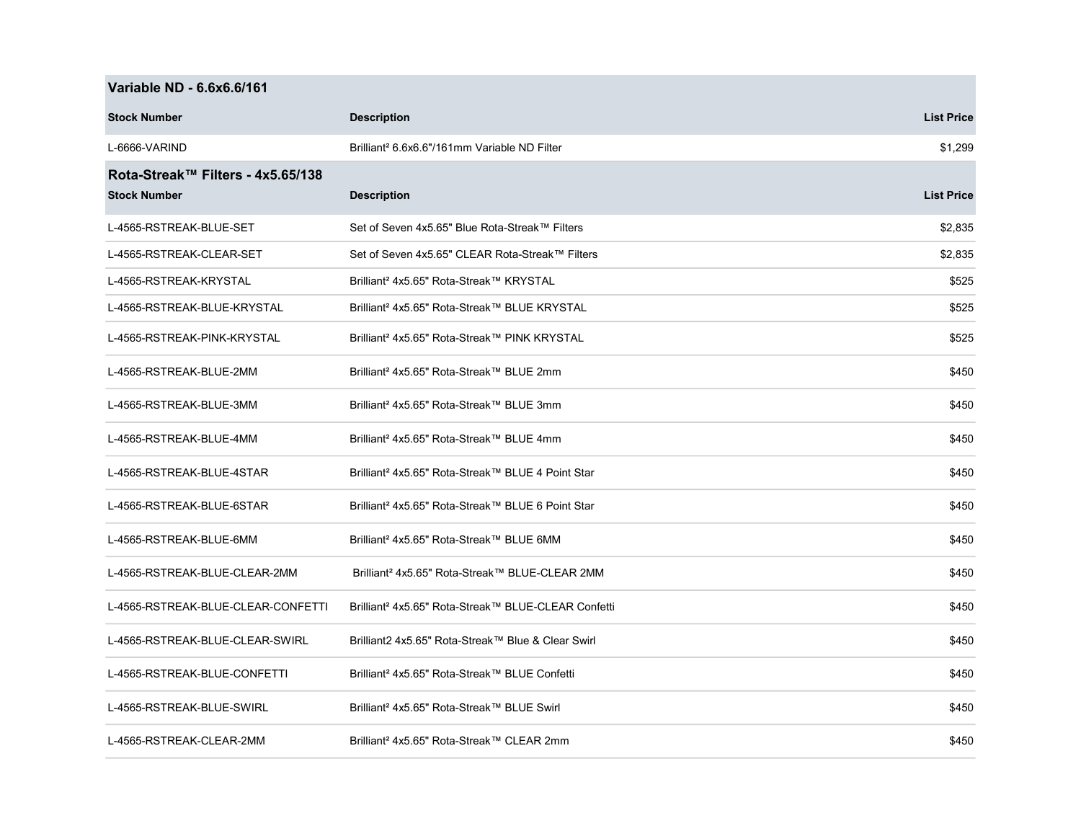|  |  | Variable ND - 6.6x6.6/161 |
|--|--|---------------------------|
|--|--|---------------------------|

**The Co** 

| <b>Stock Number</b>                                      | <b>Description</b>                                              | <b>List Price</b> |
|----------------------------------------------------------|-----------------------------------------------------------------|-------------------|
| L-6666-VARIND                                            | Brilliant <sup>2</sup> 6.6x6.6"/161mm Variable ND Filter        | \$1,299           |
| Rota-Streak™ Filters - 4x5.65/138<br><b>Stock Number</b> | <b>Description</b>                                              | <b>List Price</b> |
| L-4565-RSTREAK-BLUE-SET                                  | Set of Seven 4x5.65" Blue Rota-Streak™ Filters                  | \$2,835           |
| L-4565-RSTREAK-CLEAR-SET                                 | Set of Seven 4x5.65" CLEAR Rota-Streak™ Filters                 | \$2,835           |
| L-4565-RSTREAK-KRYSTAL                                   | Brilliant <sup>2</sup> 4x5.65" Rota-Streak™ KRYSTAL             | \$525             |
| L-4565-RSTREAK-BLUE-KRYSTAL                              | Brilliant <sup>2</sup> 4x5.65" Rota-Streak™ BLUE KRYSTAL        | \$525             |
| L-4565-RSTREAK-PINK-KRYSTAL                              | Brilliant <sup>2</sup> 4x5.65" Rota-Streak™ PINK KRYSTAL        | \$525             |
| L-4565-RSTREAK-BLUE-2MM                                  | Brilliant <sup>2</sup> 4x5.65" Rota-Streak™ BLUE 2mm            | \$450             |
| L-4565-RSTREAK-BLUE-3MM                                  | Brilliant <sup>2</sup> 4x5.65" Rota-Streak™ BLUE 3mm            | \$450             |
| L-4565-RSTREAK-BLUE-4MM                                  | Brilliant <sup>2</sup> 4x5.65" Rota-Streak™ BLUE 4mm            | \$450             |
| L-4565-RSTREAK-BLUE-4STAR                                | Brilliant <sup>2</sup> 4x5.65" Rota-Streak™ BLUE 4 Point Star   | \$450             |
| L-4565-RSTREAK-BLUE-6STAR                                | Brilliant <sup>2</sup> 4x5.65" Rota-Streak™ BLUE 6 Point Star   | \$450             |
| L-4565-RSTREAK-BLUE-6MM                                  | Brilliant <sup>2</sup> 4x5.65" Rota-Streak™ BLUE 6MM            | \$450             |
| L-4565-RSTREAK-BLUE-CLEAR-2MM                            | Brilliant <sup>2</sup> 4x5.65" Rota-Streak™ BLUE-CLEAR 2MM      | \$450             |
| L-4565-RSTREAK-BLUE-CLEAR-CONFETTI                       | Brilliant <sup>2</sup> 4x5.65" Rota-Streak™ BLUE-CLEAR Confetti | \$450             |
| L-4565-RSTREAK-BLUE-CLEAR-SWIRL                          | Brilliant2 4x5.65" Rota-Streak™ Blue & Clear Swirl              | \$450             |
| L-4565-RSTREAK-BLUE-CONFETTI                             | Brilliant <sup>2</sup> 4x5.65" Rota-Streak™ BLUE Confetti       | \$450             |
| L-4565-RSTREAK-BLUE-SWIRL                                | Brilliant <sup>2</sup> 4x5.65" Rota-Streak™ BLUE Swirl          | \$450             |
| L-4565-RSTREAK-CLEAR-2MM                                 | Brilliant <sup>2</sup> 4x5.65" Rota-Streak™ CLEAR 2mm           | \$450             |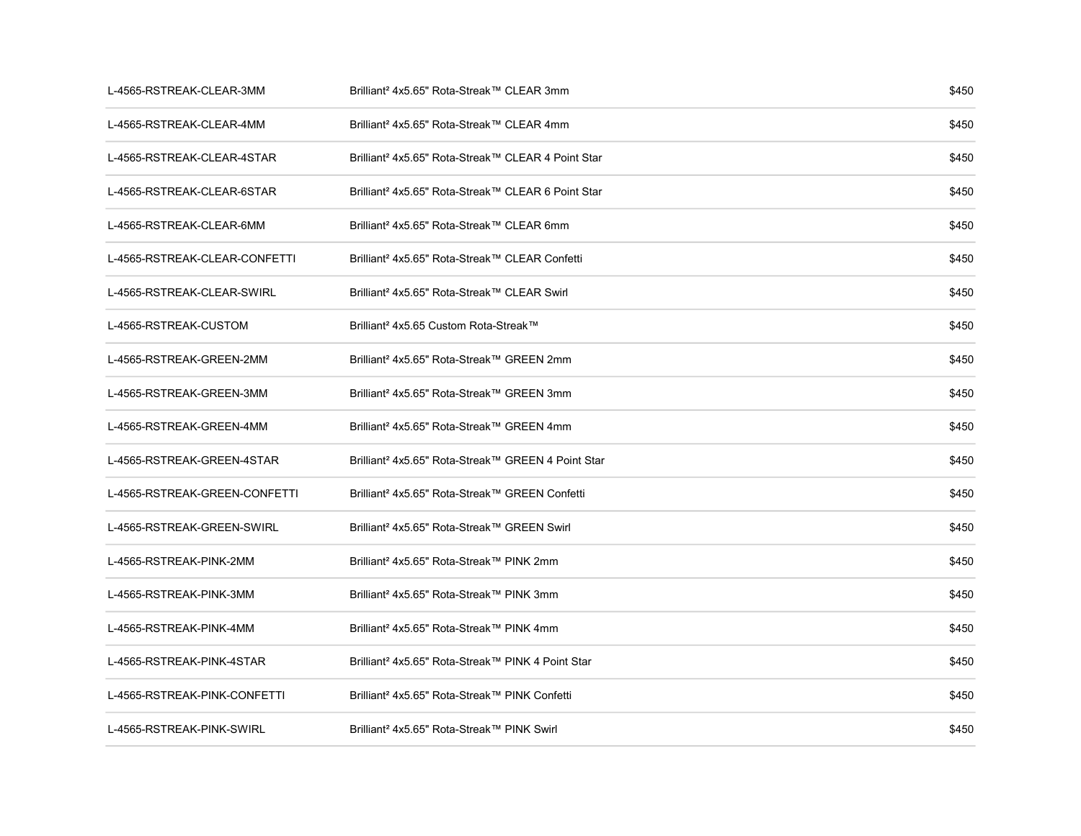| L-4565-RSTREAK-CLEAR-3MM      | Brilliant <sup>2</sup> 4x5.65" Rota-Streak™ CLEAR 3mm          | \$450 |
|-------------------------------|----------------------------------------------------------------|-------|
| L-4565-RSTREAK-CLEAR-4MM      | Brilliant <sup>2</sup> 4x5.65" Rota-Streak™ CLEAR 4mm          | \$450 |
| L-4565-RSTREAK-CLEAR-4STAR    | Brilliant <sup>2</sup> 4x5.65" Rota-Streak™ CLEAR 4 Point Star | \$450 |
| L-4565-RSTREAK-CLEAR-6STAR    | Brilliant <sup>2</sup> 4x5.65" Rota-Streak™ CLEAR 6 Point Star | \$450 |
| L-4565-RSTREAK-CLEAR-6MM      | Brilliant <sup>2</sup> 4x5.65" Rota-Streak™ CLEAR 6mm          | \$450 |
| L-4565-RSTREAK-CLEAR-CONFETTI | Brilliant <sup>2</sup> 4x5.65" Rota-Streak™ CLEAR Confetti     | \$450 |
| L-4565-RSTREAK-CLEAR-SWIRL    | Brilliant <sup>2</sup> 4x5.65" Rota-Streak™ CLEAR Swirl        | \$450 |
| L-4565-RSTREAK-CUSTOM         | Brilliant <sup>2</sup> 4x5.65 Custom Rota-Streak™              | \$450 |
| L-4565-RSTREAK-GREEN-2MM      | Brilliant <sup>2</sup> 4x5.65" Rota-Streak™ GREEN 2mm          | \$450 |
| L-4565-RSTREAK-GREEN-3MM      | Brilliant <sup>2</sup> 4x5.65" Rota-Streak™ GREEN 3mm          | \$450 |
| L-4565-RSTREAK-GREEN-4MM      | Brilliant <sup>2</sup> 4x5.65" Rota-Streak™ GREEN 4mm          | \$450 |
| L-4565-RSTREAK-GREEN-4STAR    | Brilliant <sup>2</sup> 4x5.65" Rota-Streak™ GREEN 4 Point Star | \$450 |
| L-4565-RSTREAK-GREEN-CONFETTI | Brilliant <sup>2</sup> 4x5.65" Rota-Streak™ GREEN Confetti     | \$450 |
| L-4565-RSTREAK-GREEN-SWIRL    | Brilliant <sup>2</sup> 4x5.65" Rota-Streak™ GREEN Swirl        | \$450 |
| L-4565-RSTREAK-PINK-2MM       | Brilliant <sup>2</sup> 4x5.65" Rota-Streak™ PINK 2mm           | \$450 |
| L-4565-RSTREAK-PINK-3MM       | Brilliant <sup>2</sup> 4x5.65" Rota-Streak™ PINK 3mm           | \$450 |
| L-4565-RSTREAK-PINK-4MM       | Brilliant <sup>2</sup> 4x5.65" Rota-Streak™ PINK 4mm           | \$450 |
| L-4565-RSTREAK-PINK-4STAR     | Brilliant <sup>2</sup> 4x5.65" Rota-Streak™ PINK 4 Point Star  | \$450 |
| L-4565-RSTREAK-PINK-CONFETTI  | Brilliant <sup>2</sup> 4x5.65" Rota-Streak™ PINK Confetti      | \$450 |
| L-4565-RSTREAK-PINK-SWIRL     | Brilliant <sup>2</sup> 4x5.65" Rota-Streak™ PINK Swirl         | \$450 |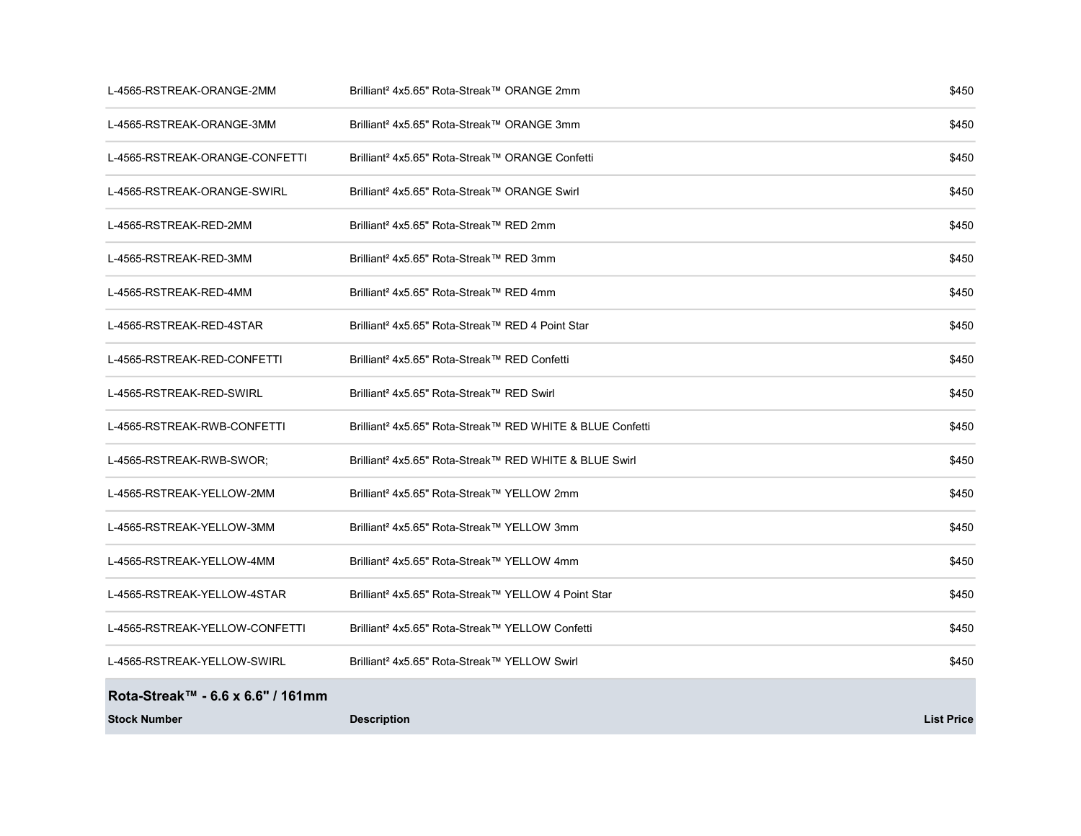| L-4565-RSTREAK-ORANGE-2MM         | Brilliant <sup>2</sup> 4x5.65" Rota-Streak™ ORANGE 2mm                | \$450             |
|-----------------------------------|-----------------------------------------------------------------------|-------------------|
| L-4565-RSTREAK-ORANGE-3MM         | Brilliant <sup>2</sup> 4x5.65" Rota-Streak™ ORANGE 3mm                | \$450             |
| L-4565-RSTREAK-ORANGE-CONFETTI    | Brilliant <sup>2</sup> 4x5.65" Rota-Streak™ ORANGE Confetti           | \$450             |
| L-4565-RSTREAK-ORANGE-SWIRL       | Brilliant <sup>2</sup> 4x5.65" Rota-Streak™ ORANGE Swirl              | \$450             |
| L-4565-RSTREAK-RED-2MM            | Brilliant <sup>2</sup> 4x5.65" Rota-Streak™ RED 2mm                   | \$450             |
| L-4565-RSTREAK-RED-3MM            | Brilliant <sup>2</sup> 4x5.65" Rota-Streak™ RED 3mm                   | \$450             |
| L-4565-RSTREAK-RED-4MM            | Brilliant <sup>2</sup> 4x5.65" Rota-Streak™ RED 4mm                   | \$450             |
| L-4565-RSTREAK-RED-4STAR          | Brilliant <sup>2</sup> 4x5.65" Rota-Streak™ RED 4 Point Star          | \$450             |
| L-4565-RSTREAK-RED-CONFETTI       | Brilliant <sup>2</sup> 4x5.65" Rota-Streak™ RED Confetti              | \$450             |
| L-4565-RSTREAK-RED-SWIRL          | Brilliant <sup>2</sup> 4x5.65" Rota-Streak™ RED Swirl                 | \$450             |
| L-4565-RSTREAK-RWB-CONFETTI       | Brilliant <sup>2</sup> 4x5.65" Rota-Streak™ RED WHITE & BLUE Confetti | \$450             |
| L-4565-RSTREAK-RWB-SWOR;          | Brilliant <sup>2</sup> 4x5.65" Rota-Streak™ RED WHITE & BLUE Swirl    | \$450             |
| L-4565-RSTREAK-YELLOW-2MM         | Brilliant <sup>2</sup> 4x5.65" Rota-Streak™ YELLOW 2mm                | \$450             |
| L-4565-RSTREAK-YELLOW-3MM         | Brilliant <sup>2</sup> 4x5.65" Rota-Streak™ YELLOW 3mm                | \$450             |
| L-4565-RSTREAK-YELLOW-4MM         | Brilliant <sup>2</sup> 4x5.65" Rota-Streak™ YELLOW 4mm                | \$450             |
| L-4565-RSTREAK-YELLOW-4STAR       | Brilliant <sup>2</sup> 4x5.65" Rota-Streak™ YELLOW 4 Point Star       | \$450             |
| L-4565-RSTREAK-YELLOW-CONFETTI    | Brilliant <sup>2</sup> 4x5.65" Rota-Streak™ YELLOW Confetti           | \$450             |
| L-4565-RSTREAK-YELLOW-SWIRL       | Brilliant <sup>2</sup> 4x5.65" Rota-Streak™ YELLOW Swirl              | \$450             |
| Rota-Streak™ - 6.6 x 6.6" / 161mm |                                                                       |                   |
| <b>Stock Number</b>               | <b>Description</b>                                                    | <b>List Price</b> |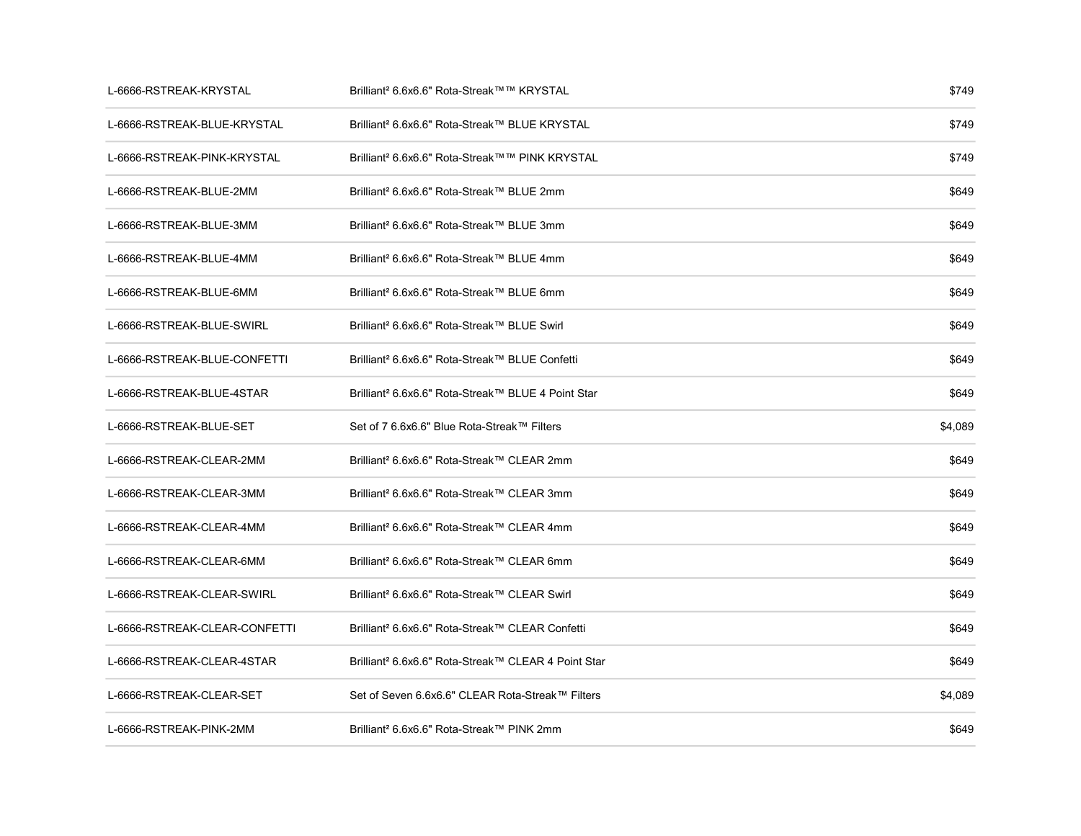| L-6666-RSTREAK-KRYSTAL        | Brilliant <sup>2</sup> 6.6x6.6" Rota-Streak™™ KRYSTAL           | \$749   |
|-------------------------------|-----------------------------------------------------------------|---------|
| L-6666-RSTREAK-BLUE-KRYSTAL   | Brilliant <sup>2</sup> 6.6x6.6" Rota-Streak™ BLUE KRYSTAL       | \$749   |
| L-6666-RSTREAK-PINK-KRYSTAL   | Brilliant <sup>2</sup> 6.6x6.6" Rota-Streak™™ PINK KRYSTAL      | \$749   |
| L-6666-RSTREAK-BLUE-2MM       | Brilliant <sup>2</sup> 6.6x6.6" Rota-Streak™ BLUE 2mm           | \$649   |
| L-6666-RSTREAK-BLUE-3MM       | Brilliant <sup>2</sup> 6.6x6.6" Rota-Streak™ BLUE 3mm           | \$649   |
| L-6666-RSTREAK-BLUE-4MM       | Brilliant <sup>2</sup> 6.6x6.6" Rota-Streak™ BLUE 4mm           | \$649   |
| L-6666-RSTREAK-BLUE-6MM       | Brilliant <sup>2</sup> 6.6x6.6" Rota-Streak™ BLUE 6mm           | \$649   |
| L-6666-RSTREAK-BLUE-SWIRL     | Brilliant <sup>2</sup> 6.6x6.6" Rota-Streak™ BLUE Swirl         | \$649   |
| L-6666-RSTREAK-BLUE-CONFETTI  | Brilliant <sup>2</sup> 6.6x6.6" Rota-Streak™ BLUE Confetti      | \$649   |
| L-6666-RSTREAK-BLUE-4STAR     | Brilliant <sup>2</sup> 6.6x6.6" Rota-Streak™ BLUE 4 Point Star  | \$649   |
| L-6666-RSTREAK-BLUE-SET       | Set of 7 6.6x6.6" Blue Rota-Streak™ Filters                     | \$4,089 |
| L-6666-RSTREAK-CLEAR-2MM      | Brilliant <sup>2</sup> 6.6x6.6" Rota-Streak™ CLEAR 2mm          | \$649   |
| L-6666-RSTREAK-CLEAR-3MM      | Brilliant <sup>2</sup> 6.6x6.6" Rota-Streak™ CLEAR 3mm          | \$649   |
| L-6666-RSTREAK-CLEAR-4MM      | Brilliant <sup>2</sup> 6.6x6.6" Rota-Streak™ CLEAR 4mm          | \$649   |
| L-6666-RSTREAK-CLEAR-6MM      | Brilliant <sup>2</sup> 6.6x6.6" Rota-Streak™ CLEAR 6mm          | \$649   |
| L-6666-RSTREAK-CLEAR-SWIRL    | Brilliant <sup>2</sup> 6.6x6.6" Rota-Streak™ CLEAR Swirl        | \$649   |
| L-6666-RSTREAK-CLEAR-CONFETTI | Brilliant <sup>2</sup> 6.6x6.6" Rota-Streak™ CLEAR Confetti     | \$649   |
| L-6666-RSTREAK-CLEAR-4STAR    | Brilliant <sup>2</sup> 6.6x6.6" Rota-Streak™ CLEAR 4 Point Star | \$649   |
| L-6666-RSTREAK-CLEAR-SET      | Set of Seven 6.6x6.6" CLEAR Rota-Streak™ Filters                | \$4,089 |
| L-6666-RSTREAK-PINK-2MM       | Brilliant <sup>2</sup> 6.6x6.6" Rota-Streak™ PINK 2mm           | \$649   |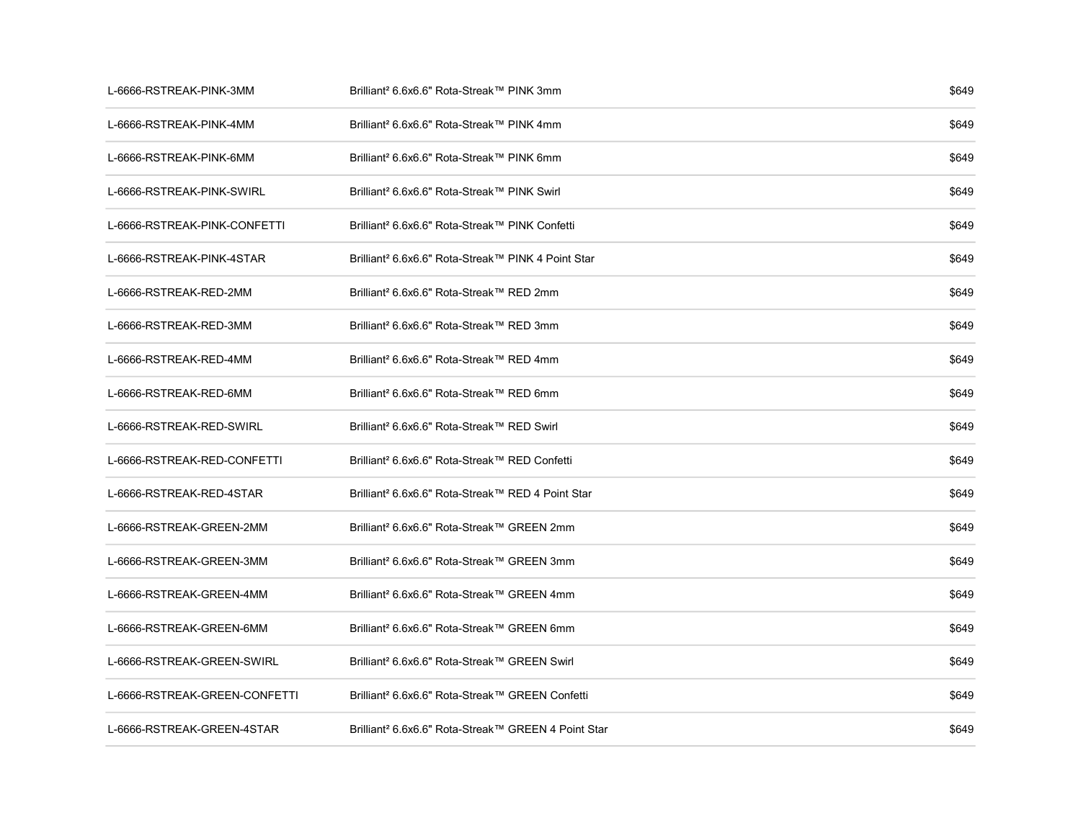| L-6666-RSTREAK-PINK-3MM       | Brilliant <sup>2</sup> 6.6x6.6" Rota-Streak™ PINK 3mm           | \$649 |
|-------------------------------|-----------------------------------------------------------------|-------|
| L-6666-RSTREAK-PINK-4MM       | Brilliant <sup>2</sup> 6.6x6.6" Rota-Streak™ PINK 4mm           | \$649 |
| L-6666-RSTREAK-PINK-6MM       | Brilliant <sup>2</sup> 6.6x6.6" Rota-Streak™ PINK 6mm           | \$649 |
| L-6666-RSTREAK-PINK-SWIRL     | Brilliant <sup>2</sup> 6.6x6.6" Rota-Streak™ PINK Swirl         | \$649 |
| L-6666-RSTREAK-PINK-CONFETTI  | Brilliant <sup>2</sup> 6.6x6.6" Rota-Streak™ PINK Confetti      | \$649 |
| L-6666-RSTREAK-PINK-4STAR     | Brilliant <sup>2</sup> 6.6x6.6" Rota-Streak™ PINK 4 Point Star  | \$649 |
| L-6666-RSTREAK-RED-2MM        | Brilliant <sup>2</sup> 6.6x6.6" Rota-Streak™ RED 2mm            | \$649 |
| L-6666-RSTREAK-RED-3MM        | Brilliant <sup>2</sup> 6.6x6.6" Rota-Streak™ RED 3mm            | \$649 |
| L-6666-RSTREAK-RED-4MM        | Brilliant <sup>2</sup> 6.6x6.6" Rota-Streak™ RED 4mm            | \$649 |
| L-6666-RSTREAK-RED-6MM        | Brilliant <sup>2</sup> 6.6x6.6" Rota-Streak™ RED 6mm            | \$649 |
| L-6666-RSTREAK-RED-SWIRL      | Brilliant <sup>2</sup> 6.6x6.6" Rota-Streak™ RED Swirl          | \$649 |
| L-6666-RSTREAK-RED-CONFETTI   | Brilliant <sup>2</sup> 6.6x6.6" Rota-Streak™ RED Confetti       | \$649 |
| L-6666-RSTREAK-RED-4STAR      | Brilliant <sup>2</sup> 6.6x6.6" Rota-Streak™ RED 4 Point Star   | \$649 |
| L-6666-RSTREAK-GREEN-2MM      | Brilliant <sup>2</sup> 6.6x6.6" Rota-Streak™ GREEN 2mm          | \$649 |
| L-6666-RSTREAK-GREEN-3MM      | Brilliant <sup>2</sup> 6.6x6.6" Rota-Streak™ GREEN 3mm          | \$649 |
| L-6666-RSTREAK-GREEN-4MM      | Brilliant <sup>2</sup> 6.6x6.6" Rota-Streak™ GREEN 4mm          | \$649 |
| L-6666-RSTREAK-GREEN-6MM      | Brilliant <sup>2</sup> 6.6x6.6" Rota-Streak™ GREEN 6mm          | \$649 |
| L-6666-RSTREAK-GREEN-SWIRL    | Brilliant <sup>2</sup> 6.6x6.6" Rota-Streak™ GREEN Swirl        | \$649 |
| L-6666-RSTREAK-GREEN-CONFETTI | Brilliant <sup>2</sup> 6.6x6.6" Rota-Streak™ GREEN Confetti     | \$649 |
| L-6666-RSTREAK-GREEN-4STAR    | Brilliant <sup>2</sup> 6.6x6.6" Rota-Streak™ GREEN 4 Point Star | \$649 |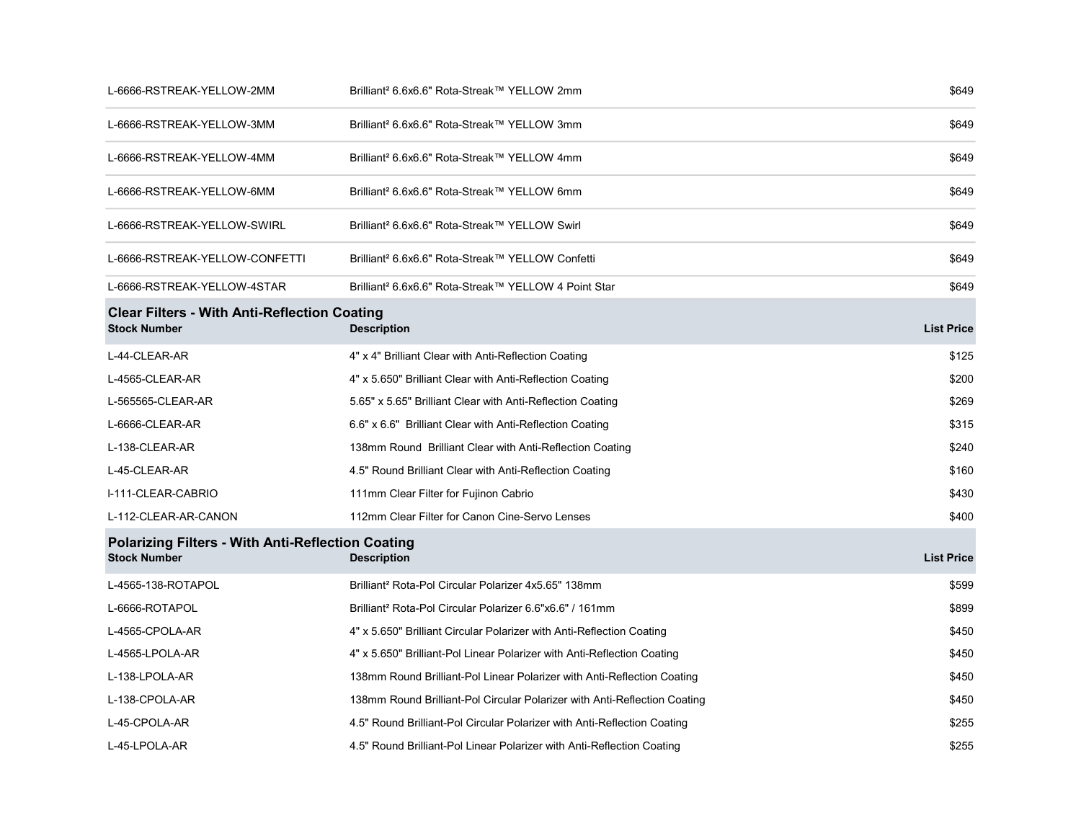| L-6666-RSTREAK-YELLOW-2MM                                                       | Brilliant <sup>2</sup> 6.6x6.6" Rota-Streak™ YELLOW 2mm                   | \$649             |
|---------------------------------------------------------------------------------|---------------------------------------------------------------------------|-------------------|
| L-6666-RSTREAK-YELLOW-3MM                                                       | Brilliant <sup>2</sup> 6.6x6.6" Rota-Streak™ YELLOW 3mm                   | \$649             |
| L-6666-RSTREAK-YELLOW-4MM                                                       | Brilliant <sup>2</sup> 6.6x6.6" Rota-Streak™ YELLOW 4mm                   | \$649             |
| L-6666-RSTREAK-YELLOW-6MM                                                       | Brilliant <sup>2</sup> 6.6x6.6" Rota-Streak™ YELLOW 6mm                   | \$649             |
| L-6666-RSTREAK-YELLOW-SWIRL                                                     | Brilliant <sup>2</sup> 6.6x6.6" Rota-Streak™ YELLOW Swirl                 | \$649             |
| L-6666-RSTREAK-YELLOW-CONFETTI                                                  | Brilliant <sup>2</sup> 6.6x6.6" Rota-Streak™ YELLOW Confetti              | \$649             |
| L-6666-RSTREAK-YELLOW-4STAR                                                     | Brilliant <sup>2</sup> 6.6x6.6" Rota-Streak™ YELLOW 4 Point Star          | \$649             |
| <b>Clear Filters - With Anti-Reflection Coating</b><br><b>Stock Number</b>      | <b>Description</b>                                                        | <b>List Price</b> |
| L-44-CLEAR-AR                                                                   | 4" x 4" Brilliant Clear with Anti-Reflection Coating                      | \$125             |
| L-4565-CLEAR-AR                                                                 | 4" x 5.650" Brilliant Clear with Anti-Reflection Coating                  | \$200             |
| L-565565-CLEAR-AR                                                               | 5.65" x 5.65" Brilliant Clear with Anti-Reflection Coating                | \$269             |
| L-6666-CLEAR-AR                                                                 | 6.6" x 6.6" Brilliant Clear with Anti-Reflection Coating                  | \$315             |
| L-138-CLEAR-AR                                                                  | 138mm Round Brilliant Clear with Anti-Reflection Coating                  | \$240             |
| L-45-CLEAR-AR                                                                   | 4.5" Round Brilliant Clear with Anti-Reflection Coating                   | \$160             |
| I-111-CLEAR-CABRIO                                                              | 111mm Clear Filter for Fujinon Cabrio                                     | \$430             |
| L-112-CLEAR-AR-CANON                                                            | 112mm Clear Filter for Canon Cine-Servo Lenses                            | \$400             |
| <b>Polarizing Filters - With Anti-Reflection Coating</b><br><b>Stock Number</b> | <b>Description</b>                                                        | <b>List Price</b> |
| L-4565-138-ROTAPOL                                                              | Brilliant <sup>2</sup> Rota-Pol Circular Polarizer 4x5.65" 138mm          | \$599             |
| L-6666-ROTAPOL                                                                  | Brilliant <sup>2</sup> Rota-Pol Circular Polarizer 6.6"x6.6" / 161mm      | \$899             |
| L-4565-CPOLA-AR                                                                 | 4" x 5.650" Brilliant Circular Polarizer with Anti-Reflection Coating     | \$450             |
| L-4565-LPOLA-AR                                                                 | 4" x 5.650" Brilliant-Pol Linear Polarizer with Anti-Reflection Coating   | \$450             |
| L-138-LPOLA-AR                                                                  | 138mm Round Brilliant-Pol Linear Polarizer with Anti-Reflection Coating   | \$450             |
| L-138-CPOLA-AR                                                                  | 138mm Round Brilliant-Pol Circular Polarizer with Anti-Reflection Coating | \$450             |
| L-45-CPOLA-AR                                                                   | 4.5" Round Brilliant-Pol Circular Polarizer with Anti-Reflection Coating  | \$255             |
| L-45-LPOLA-AR                                                                   | 4.5" Round Brilliant-Pol Linear Polarizer with Anti-Reflection Coating    | \$255             |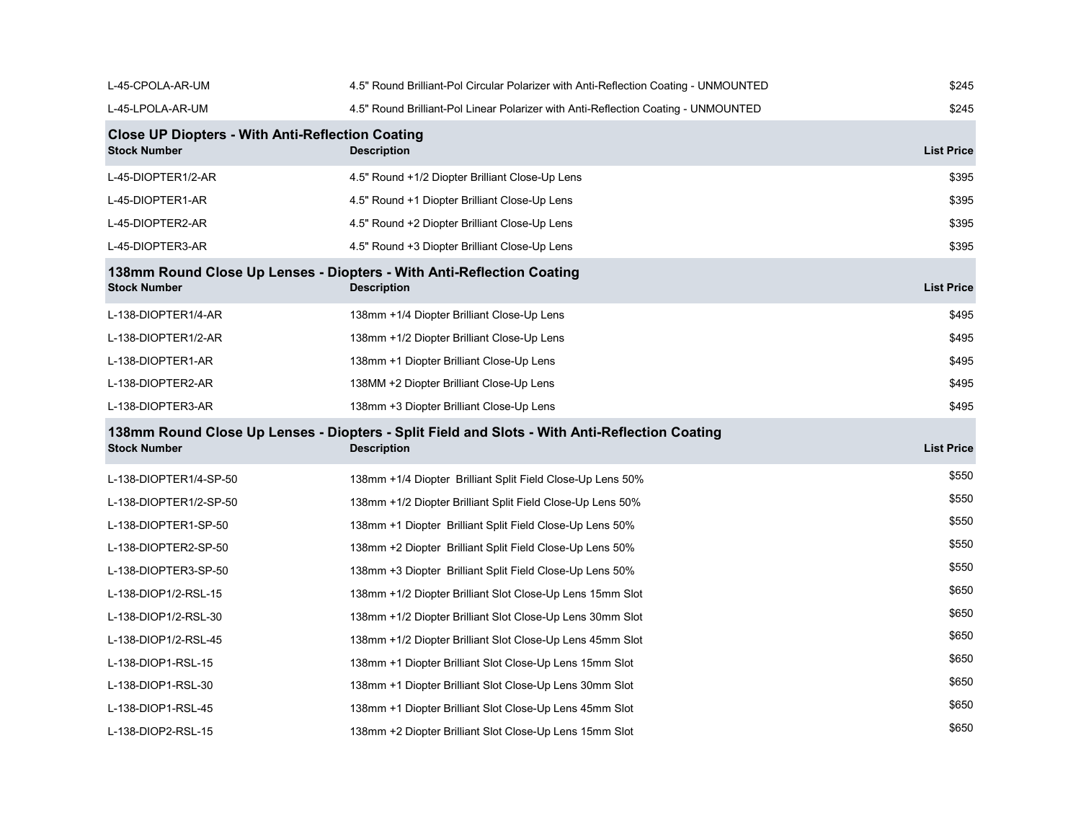| L-45-CPOLA-AR-UM                                                               | 4.5" Round Brilliant-Pol Circular Polarizer with Anti-Reflection Coating - UNMOUNTED                                | \$245             |
|--------------------------------------------------------------------------------|---------------------------------------------------------------------------------------------------------------------|-------------------|
| L-45-LPOLA-AR-UM                                                               | 4.5" Round Brilliant-Pol Linear Polarizer with Anti-Reflection Coating - UNMOUNTED                                  | \$245             |
| <b>Close UP Diopters - With Anti-Reflection Coating</b><br><b>Stock Number</b> | <b>Description</b>                                                                                                  | <b>List Price</b> |
| L-45-DIOPTER1/2-AR                                                             | 4.5" Round +1/2 Diopter Brilliant Close-Up Lens                                                                     | \$395             |
| L-45-DIOPTER1-AR                                                               | 4.5" Round +1 Diopter Brilliant Close-Up Lens                                                                       | \$395             |
| L-45-DIOPTER2-AR                                                               | 4.5" Round +2 Diopter Brilliant Close-Up Lens                                                                       | \$395             |
| L-45-DIOPTER3-AR                                                               | 4.5" Round +3 Diopter Brilliant Close-Up Lens                                                                       | \$395             |
| <b>Stock Number</b>                                                            | 138mm Round Close Up Lenses - Diopters - With Anti-Reflection Coating<br><b>Description</b>                         | <b>List Price</b> |
| L-138-DIOPTER1/4-AR                                                            | 138mm +1/4 Diopter Brilliant Close-Up Lens                                                                          | \$495             |
| L-138-DIOPTER1/2-AR                                                            | 138mm +1/2 Diopter Brilliant Close-Up Lens                                                                          | \$495             |
| L-138-DIOPTER1-AR                                                              | 138mm +1 Diopter Brilliant Close-Up Lens                                                                            | \$495             |
| L-138-DIOPTER2-AR                                                              | 138MM +2 Diopter Brilliant Close-Up Lens                                                                            | \$495             |
| L-138-DIOPTER3-AR                                                              | 138mm +3 Diopter Brilliant Close-Up Lens                                                                            | \$495             |
| <b>Stock Number</b>                                                            | 138mm Round Close Up Lenses - Diopters - Split Field and Slots - With Anti-Reflection Coating<br><b>Description</b> | <b>List Price</b> |
| L-138-DIOPTER1/4-SP-50                                                         | 138mm +1/4 Diopter Brilliant Split Field Close-Up Lens 50%                                                          | \$550             |
| L-138-DIOPTER1/2-SP-50                                                         | 138mm +1/2 Diopter Brilliant Split Field Close-Up Lens 50%                                                          | \$550             |
| L-138-DIOPTER1-SP-50                                                           | 138mm +1 Diopter Brilliant Split Field Close-Up Lens 50%                                                            | \$550             |
| L-138-DIOPTER2-SP-50                                                           | 138mm +2 Diopter Brilliant Split Field Close-Up Lens 50%                                                            | \$550             |
| L-138-DIOPTER3-SP-50                                                           | 138mm +3 Diopter Brilliant Split Field Close-Up Lens 50%                                                            | \$550             |
| L-138-DIOP1/2-RSL-15                                                           | 138mm +1/2 Diopter Brilliant Slot Close-Up Lens 15mm Slot                                                           | \$650             |
| L-138-DIOP1/2-RSL-30                                                           | 138mm +1/2 Diopter Brilliant Slot Close-Up Lens 30mm Slot                                                           | \$650             |
| L-138-DIOP1/2-RSL-45                                                           | 138mm +1/2 Diopter Brilliant Slot Close-Up Lens 45mm Slot                                                           | \$650             |
| L-138-DIOP1-RSL-15                                                             | 138mm +1 Diopter Brilliant Slot Close-Up Lens 15mm Slot                                                             | \$650             |
| L-138-DIOP1-RSL-30                                                             | 138mm +1 Diopter Brilliant Slot Close-Up Lens 30mm Slot                                                             | \$650             |
| L-138-DIOP1-RSL-45                                                             | 138mm +1 Diopter Brilliant Slot Close-Up Lens 45mm Slot                                                             | \$650             |
| L-138-DIOP2-RSL-15                                                             | 138mm +2 Diopter Brilliant Slot Close-Up Lens 15mm Slot                                                             | \$650             |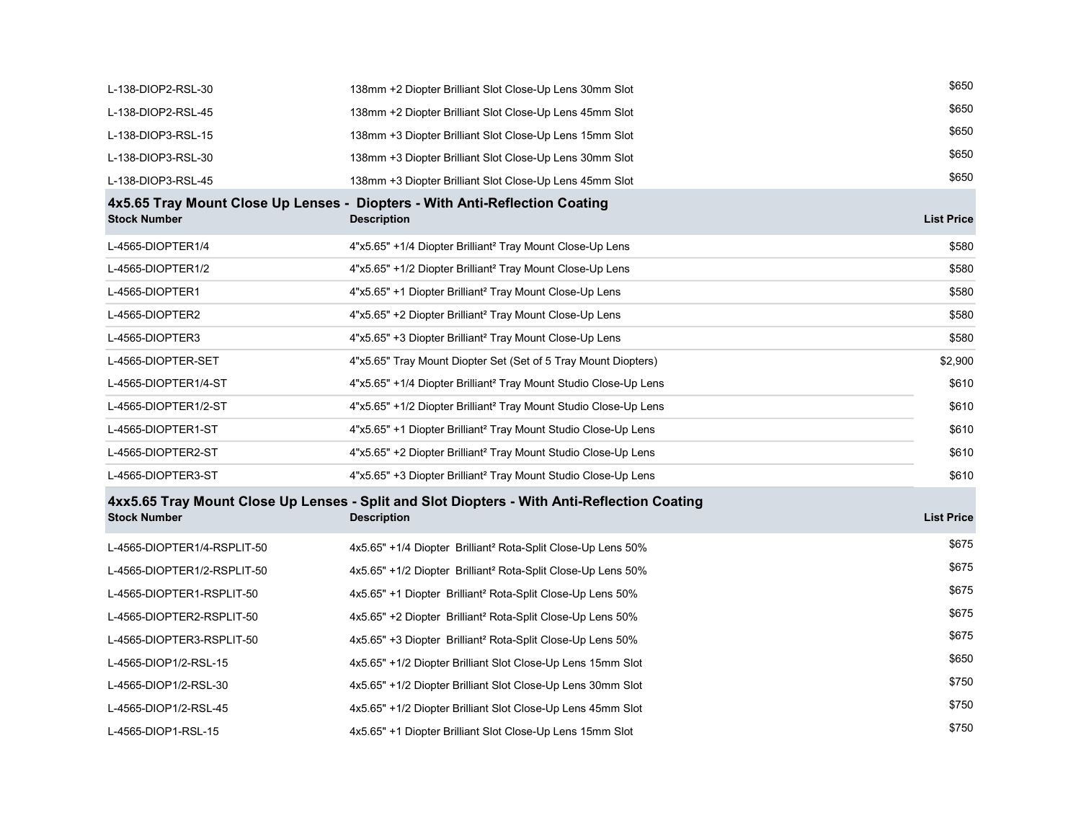| L-138-DIOP2-RSL-30          | 138mm +2 Diopter Brilliant Slot Close-Up Lens 30mm Slot                                                           | \$650             |
|-----------------------------|-------------------------------------------------------------------------------------------------------------------|-------------------|
| L-138-DIOP2-RSL-45          | 138mm +2 Diopter Brilliant Slot Close-Up Lens 45mm Slot                                                           | \$650             |
| L-138-DIOP3-RSL-15          | 138mm +3 Diopter Brilliant Slot Close-Up Lens 15mm Slot                                                           | \$650             |
| L-138-DIOP3-RSL-30          | 138mm +3 Diopter Brilliant Slot Close-Up Lens 30mm Slot                                                           | \$650             |
| L-138-DIOP3-RSL-45          | 138mm +3 Diopter Brilliant Slot Close-Up Lens 45mm Slot                                                           | \$650             |
| <b>Stock Number</b>         | 4x5.65 Tray Mount Close Up Lenses - Diopters - With Anti-Reflection Coating<br><b>Description</b>                 | <b>List Price</b> |
| L-4565-DIOPTER1/4           | 4"x5.65" +1/4 Diopter Brilliant <sup>2</sup> Tray Mount Close-Up Lens                                             | \$580             |
| L-4565-DIOPTER1/2           | 4"x5.65" +1/2 Diopter Brilliant <sup>2</sup> Tray Mount Close-Up Lens                                             | \$580             |
| L-4565-DIOPTER1             | 4"x5.65" +1 Diopter Brilliant <sup>2</sup> Tray Mount Close-Up Lens                                               | \$580             |
| L-4565-DIOPTER2             | 4"x5.65" +2 Diopter Brilliant <sup>2</sup> Tray Mount Close-Up Lens                                               | \$580             |
| L-4565-DIOPTER3             | 4"x5.65" +3 Diopter Brilliant <sup>2</sup> Tray Mount Close-Up Lens                                               | \$580             |
| L-4565-DIOPTER-SET          | 4"x5.65" Tray Mount Diopter Set (Set of 5 Tray Mount Diopters)                                                    | \$2,900           |
| L-4565-DIOPTER1/4-ST        | 4"x5.65" +1/4 Diopter Brilliant <sup>2</sup> Tray Mount Studio Close-Up Lens                                      | \$610             |
| L-4565-DIOPTER1/2-ST        | 4"x5.65" +1/2 Diopter Brilliant <sup>2</sup> Tray Mount Studio Close-Up Lens                                      | \$610             |
| L-4565-DIOPTER1-ST          | 4"x5.65" +1 Diopter Brilliant <sup>2</sup> Tray Mount Studio Close-Up Lens                                        | \$610             |
| L-4565-DIOPTER2-ST          | 4"x5.65" +2 Diopter Brilliant <sup>2</sup> Tray Mount Studio Close-Up Lens                                        | \$610             |
| L-4565-DIOPTER3-ST          | 4"x5.65" +3 Diopter Brilliant <sup>2</sup> Tray Mount Studio Close-Up Lens                                        | \$610             |
| <b>Stock Number</b>         | 4xx5.65 Tray Mount Close Up Lenses - Split and Slot Diopters - With Anti-Reflection Coating<br><b>Description</b> | <b>List Price</b> |
| L-4565-DIOPTER1/4-RSPLIT-50 | 4x5.65" +1/4 Diopter Brilliant <sup>2</sup> Rota-Split Close-Up Lens 50%                                          | \$675             |
| L-4565-DIOPTER1/2-RSPLIT-50 | 4x5.65" +1/2 Diopter Brilliant <sup>2</sup> Rota-Split Close-Up Lens 50%                                          | \$675             |
| L-4565-DIOPTER1-RSPLIT-50   | 4x5.65" +1 Diopter Brilliant <sup>2</sup> Rota-Split Close-Up Lens 50%                                            | \$675             |
| L-4565-DIOPTER2-RSPLIT-50   | 4x5.65" +2 Diopter Brilliant <sup>2</sup> Rota-Split Close-Up Lens 50%                                            | \$675             |
| L-4565-DIOPTER3-RSPLIT-50   | 4x5.65" +3 Diopter Brilliant <sup>2</sup> Rota-Split Close-Up Lens 50%                                            | \$675             |
| L-4565-DIOP1/2-RSL-15       | 4x5.65" +1/2 Diopter Brilliant Slot Close-Up Lens 15mm Slot                                                       | \$650             |
| L-4565-DIOP1/2-RSL-30       | 4x5.65" +1/2 Diopter Brilliant Slot Close-Up Lens 30mm Slot                                                       | \$750             |
| L-4565-DIOP1/2-RSL-45       | 4x5.65" +1/2 Diopter Brilliant Slot Close-Up Lens 45mm Slot                                                       | \$750             |
| L-4565-DIOP1-RSL-15         | 4x5.65" +1 Diopter Brilliant Slot Close-Up Lens 15mm Slot                                                         | \$750             |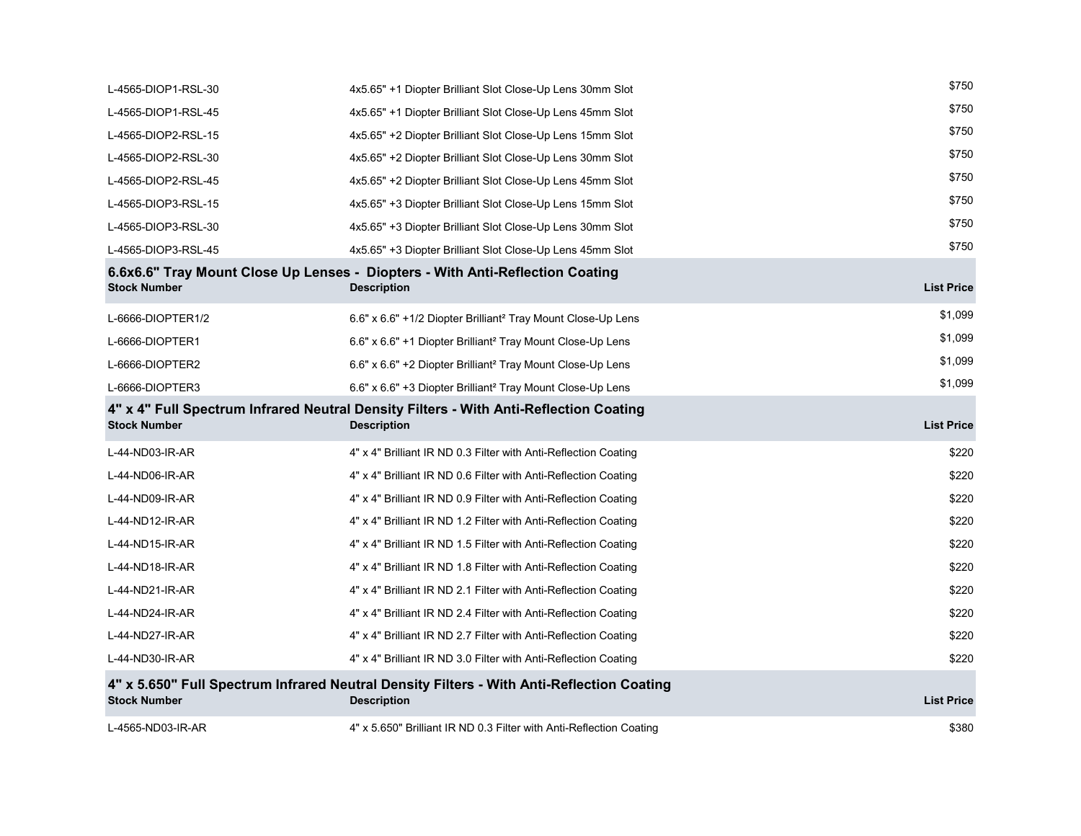| L-4565-DIOP1-RSL-30 | 4x5.65" +1 Diopter Brilliant Slot Close-Up Lens 30mm Slot                                                       | \$750             |
|---------------------|-----------------------------------------------------------------------------------------------------------------|-------------------|
| L-4565-DIOP1-RSL-45 | 4x5.65" +1 Diopter Brilliant Slot Close-Up Lens 45mm Slot                                                       | \$750             |
| L-4565-DIOP2-RSL-15 | 4x5.65" +2 Diopter Brilliant Slot Close-Up Lens 15mm Slot                                                       | \$750             |
| L-4565-DIOP2-RSL-30 | 4x5.65" +2 Diopter Brilliant Slot Close-Up Lens 30mm Slot                                                       | \$750             |
| L-4565-DIOP2-RSL-45 | 4x5.65" +2 Diopter Brilliant Slot Close-Up Lens 45mm Slot                                                       | \$750             |
| L-4565-DIOP3-RSL-15 | 4x5.65" +3 Diopter Brilliant Slot Close-Up Lens 15mm Slot                                                       | \$750             |
| L-4565-DIOP3-RSL-30 | 4x5.65" +3 Diopter Brilliant Slot Close-Up Lens 30mm Slot                                                       | \$750             |
| L-4565-DIOP3-RSL-45 | 4x5.65" +3 Diopter Brilliant Slot Close-Up Lens 45mm Slot                                                       | \$750             |
| <b>Stock Number</b> | 6.6x6.6" Tray Mount Close Up Lenses - Diopters - With Anti-Reflection Coating<br><b>Description</b>             | <b>List Price</b> |
| L-6666-DIOPTER1/2   | 6.6" x 6.6" +1/2 Diopter Brilliant <sup>2</sup> Tray Mount Close-Up Lens                                        | \$1,099           |
| L-6666-DIOPTER1     | 6.6" x 6.6" +1 Diopter Brilliant <sup>2</sup> Tray Mount Close-Up Lens                                          | \$1,099           |
| L-6666-DIOPTER2     | 6.6" x 6.6" +2 Diopter Brilliant <sup>2</sup> Tray Mount Close-Up Lens                                          | \$1,099           |
| L-6666-DIOPTER3     | 6.6" x 6.6" +3 Diopter Brilliant <sup>2</sup> Tray Mount Close-Up Lens                                          | \$1,099           |
|                     |                                                                                                                 |                   |
| <b>Stock Number</b> | 4" x 4" Full Spectrum Infrared Neutral Density Filters - With Anti-Reflection Coating<br><b>Description</b>     | <b>List Price</b> |
| L-44-ND03-IR-AR     | 4" x 4" Brilliant IR ND 0.3 Filter with Anti-Reflection Coating                                                 | \$220             |
| L-44-ND06-IR-AR     | 4" x 4" Brilliant IR ND 0.6 Filter with Anti-Reflection Coating                                                 | \$220             |
| L-44-ND09-IR-AR     | 4" x 4" Brilliant IR ND 0.9 Filter with Anti-Reflection Coating                                                 | \$220             |
| L-44-ND12-IR-AR     | 4" x 4" Brilliant IR ND 1.2 Filter with Anti-Reflection Coating                                                 | \$220             |
| L-44-ND15-IR-AR     | 4" x 4" Brilliant IR ND 1.5 Filter with Anti-Reflection Coating                                                 | \$220             |
| L-44-ND18-IR-AR     | 4" x 4" Brilliant IR ND 1.8 Filter with Anti-Reflection Coating                                                 | \$220             |
| L-44-ND21-IR-AR     | 4" x 4" Brilliant IR ND 2.1 Filter with Anti-Reflection Coating                                                 | \$220             |
| L-44-ND24-IR-AR     | 4" x 4" Brilliant IR ND 2.4 Filter with Anti-Reflection Coating                                                 | \$220             |
| L-44-ND27-IR-AR     | 4" x 4" Brilliant IR ND 2.7 Filter with Anti-Reflection Coating                                                 | \$220             |
| L-44-ND30-IR-AR     | 4" x 4" Brilliant IR ND 3.0 Filter with Anti-Reflection Coating                                                 | \$220             |
| <b>Stock Number</b> | 4" x 5.650" Full Spectrum Infrared Neutral Density Filters - With Anti-Reflection Coating<br><b>Description</b> | <b>List Price</b> |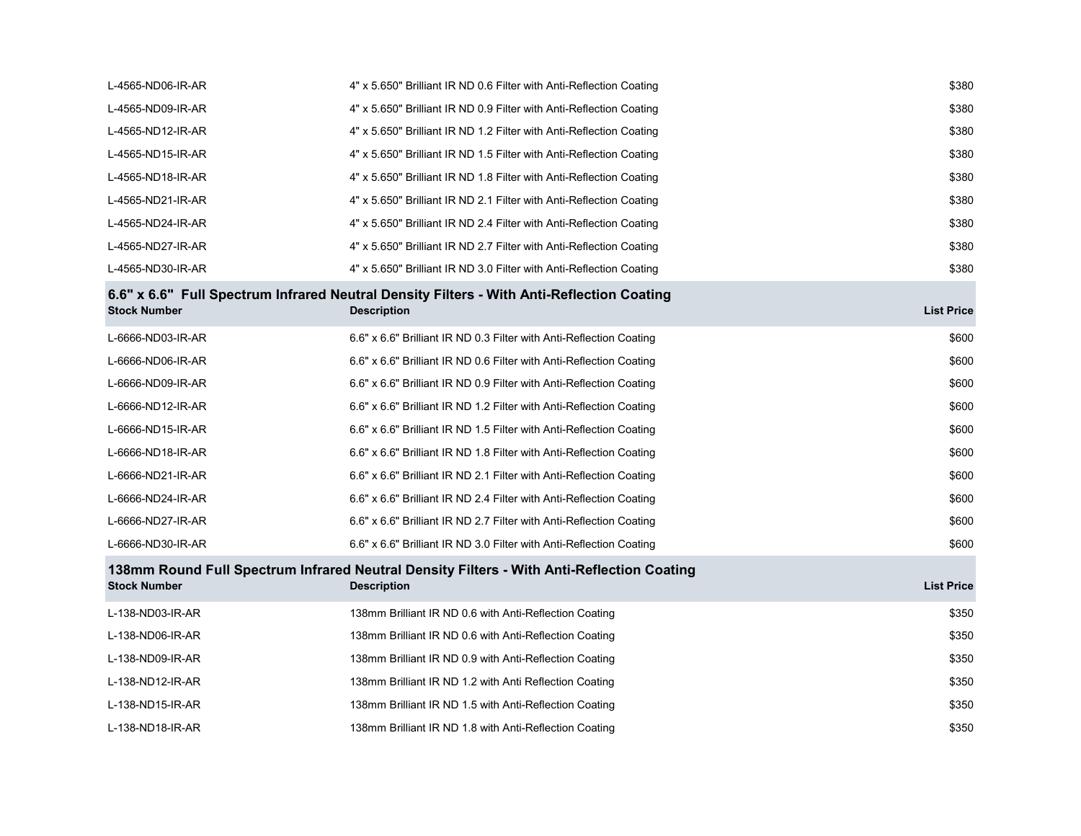| L-4565-ND06-IR-AR   | 4" x 5.650" Brilliant IR ND 0.6 Filter with Anti-Reflection Coating                                             | \$380             |
|---------------------|-----------------------------------------------------------------------------------------------------------------|-------------------|
| L-4565-ND09-IR-AR   | 4" x 5.650" Brilliant IR ND 0.9 Filter with Anti-Reflection Coating                                             | \$380             |
| L-4565-ND12-IR-AR   | 4" x 5.650" Brilliant IR ND 1.2 Filter with Anti-Reflection Coating                                             | \$380             |
| L-4565-ND15-IR-AR   | 4" x 5.650" Brilliant IR ND 1.5 Filter with Anti-Reflection Coating                                             | \$380             |
| L-4565-ND18-IR-AR   | 4" x 5.650" Brilliant IR ND 1.8 Filter with Anti-Reflection Coating                                             | \$380             |
| L-4565-ND21-IR-AR   | 4" x 5.650" Brilliant IR ND 2.1 Filter with Anti-Reflection Coating                                             | \$380             |
| L-4565-ND24-IR-AR   | 4" x 5.650" Brilliant IR ND 2.4 Filter with Anti-Reflection Coating                                             | \$380             |
| L-4565-ND27-IR-AR   | 4" x 5.650" Brilliant IR ND 2.7 Filter with Anti-Reflection Coating                                             | \$380             |
| L-4565-ND30-IR-AR   | 4" x 5.650" Brilliant IR ND 3.0 Filter with Anti-Reflection Coating                                             | \$380             |
| <b>Stock Number</b> | 6.6" x 6.6" Full Spectrum Infrared Neutral Density Filters - With Anti-Reflection Coating<br><b>Description</b> | <b>List Price</b> |
| L-6666-ND03-IR-AR   | 6.6" x 6.6" Brilliant IR ND 0.3 Filter with Anti-Reflection Coating                                             | \$600             |
| L-6666-ND06-IR-AR   | 6.6" x 6.6" Brilliant IR ND 0.6 Filter with Anti-Reflection Coating                                             | \$600             |
| L-6666-ND09-IR-AR   | 6.6" x 6.6" Brilliant IR ND 0.9 Filter with Anti-Reflection Coating                                             | \$600             |
| L-6666-ND12-IR-AR   | 6.6" x 6.6" Brilliant IR ND 1.2 Filter with Anti-Reflection Coating                                             | \$600             |
| L-6666-ND15-IR-AR   | 6.6" x 6.6" Brilliant IR ND 1.5 Filter with Anti-Reflection Coating                                             | \$600             |
| L-6666-ND18-IR-AR   | 6.6" x 6.6" Brilliant IR ND 1.8 Filter with Anti-Reflection Coating                                             | \$600             |
| L-6666-ND21-IR-AR   | 6.6" x 6.6" Brilliant IR ND 2.1 Filter with Anti-Reflection Coating                                             | \$600             |
| L-6666-ND24-IR-AR   | 6.6" x 6.6" Brilliant IR ND 2.4 Filter with Anti-Reflection Coating                                             | \$600             |
| L-6666-ND27-IR-AR   | 6.6" x 6.6" Brilliant IR ND 2.7 Filter with Anti-Reflection Coating                                             | \$600             |
| L-6666-ND30-IR-AR   | 6.6" x 6.6" Brilliant IR ND 3.0 Filter with Anti-Reflection Coating                                             | \$600             |
| <b>Stock Number</b> | 138mm Round Full Spectrum Infrared Neutral Density Filters - With Anti-Reflection Coating<br><b>Description</b> | <b>List Price</b> |
| L-138-ND03-IR-AR    | 138mm Brilliant IR ND 0.6 with Anti-Reflection Coating                                                          | \$350             |
| L-138-ND06-IR-AR    | 138mm Brilliant IR ND 0.6 with Anti-Reflection Coating                                                          | \$350             |
| L-138-ND09-IR-AR    | 138mm Brilliant IR ND 0.9 with Anti-Reflection Coating                                                          | \$350             |
| L-138-ND12-IR-AR    | 138mm Brilliant IR ND 1.2 with Anti Reflection Coating                                                          | \$350             |
| L-138-ND15-IR-AR    | 138mm Brilliant IR ND 1.5 with Anti-Reflection Coating                                                          | \$350             |
| L-138-ND18-IR-AR    | 138mm Brilliant IR ND 1.8 with Anti-Reflection Coating                                                          | \$350             |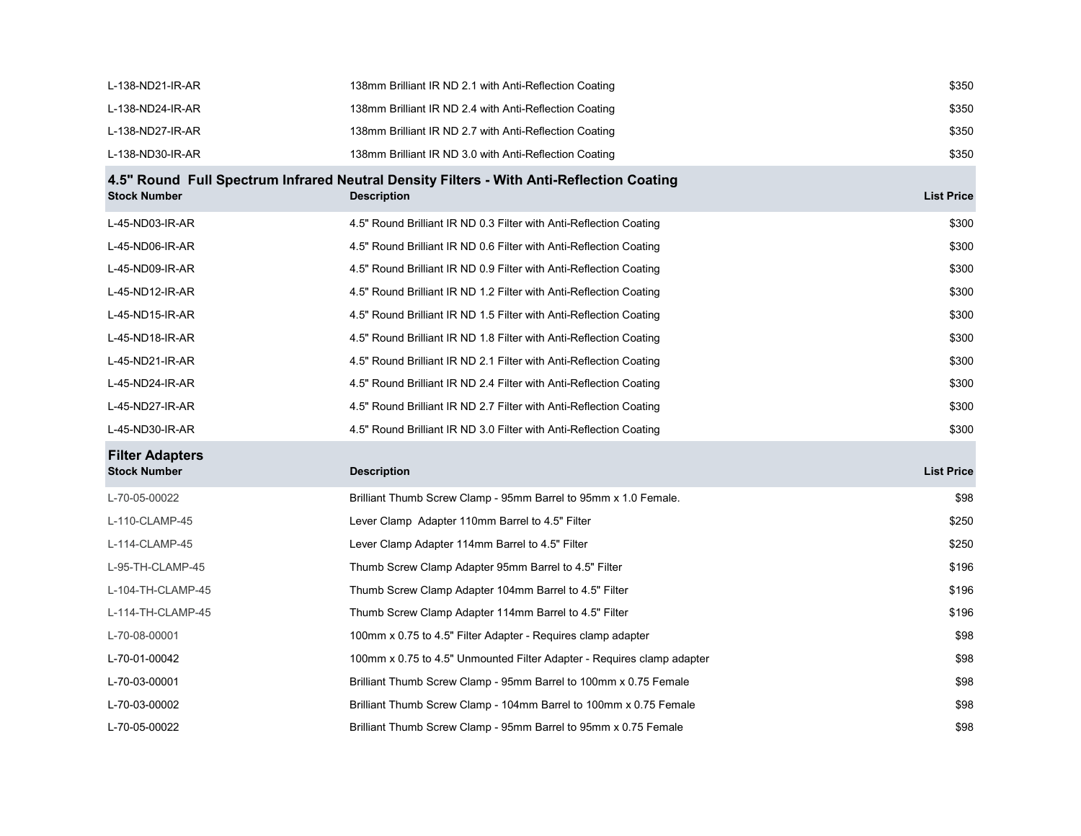| L-138-ND21-IR-AR                              | 138mm Brilliant IR ND 2.1 with Anti-Reflection Coating                                                         | \$350             |
|-----------------------------------------------|----------------------------------------------------------------------------------------------------------------|-------------------|
| L-138-ND24-IR-AR                              | 138mm Brilliant IR ND 2.4 with Anti-Reflection Coating                                                         | \$350             |
| L-138-ND27-IR-AR                              | 138mm Brilliant IR ND 2.7 with Anti-Reflection Coating                                                         | \$350             |
| L-138-ND30-IR-AR                              | 138mm Brilliant IR ND 3.0 with Anti-Reflection Coating                                                         | \$350             |
| <b>Stock Number</b>                           | 4.5" Round Full Spectrum Infrared Neutral Density Filters - With Anti-Reflection Coating<br><b>Description</b> | <b>List Price</b> |
| L-45-ND03-IR-AR                               | 4.5" Round Brilliant IR ND 0.3 Filter with Anti-Reflection Coating                                             | \$300             |
| L-45-ND06-IR-AR                               | 4.5" Round Brilliant IR ND 0.6 Filter with Anti-Reflection Coating                                             | \$300             |
| L-45-ND09-IR-AR                               | 4.5" Round Brilliant IR ND 0.9 Filter with Anti-Reflection Coating                                             | \$300             |
| L-45-ND12-IR-AR                               | 4.5" Round Brilliant IR ND 1.2 Filter with Anti-Reflection Coating                                             | \$300             |
| L-45-ND15-IR-AR                               | 4.5" Round Brilliant IR ND 1.5 Filter with Anti-Reflection Coating                                             | \$300             |
| L-45-ND18-IR-AR                               | 4.5" Round Brilliant IR ND 1.8 Filter with Anti-Reflection Coating                                             | \$300             |
| L-45-ND21-IR-AR                               | 4.5" Round Brilliant IR ND 2.1 Filter with Anti-Reflection Coating                                             | \$300             |
| L-45-ND24-IR-AR                               | 4.5" Round Brilliant IR ND 2.4 Filter with Anti-Reflection Coating                                             | \$300             |
| L-45-ND27-IR-AR                               | 4.5" Round Brilliant IR ND 2.7 Filter with Anti-Reflection Coating                                             | \$300             |
| L-45-ND30-IR-AR                               | 4.5" Round Brilliant IR ND 3.0 Filter with Anti-Reflection Coating                                             | \$300             |
| <b>Filter Adapters</b><br><b>Stock Number</b> | <b>Description</b>                                                                                             | <b>List Price</b> |
| L-70-05-00022                                 | Brilliant Thumb Screw Clamp - 95mm Barrel to 95mm x 1.0 Female.                                                | \$98              |
| L-110-CLAMP-45                                | Lever Clamp Adapter 110mm Barrel to 4.5" Filter                                                                | \$250             |
| L-114-CLAMP-45                                | Lever Clamp Adapter 114mm Barrel to 4.5" Filter                                                                | \$250             |
| L-95-TH-CLAMP-45                              | Thumb Screw Clamp Adapter 95mm Barrel to 4.5" Filter                                                           | \$196             |
| L-104-TH-CLAMP-45                             | Thumb Screw Clamp Adapter 104mm Barrel to 4.5" Filter                                                          | \$196             |
| L-114-TH-CLAMP-45                             | Thumb Screw Clamp Adapter 114mm Barrel to 4.5" Filter                                                          | \$196             |
| L-70-08-00001                                 | 100mm x 0.75 to 4.5" Filter Adapter - Requires clamp adapter                                                   | \$98              |
| L-70-01-00042                                 | 100mm x 0.75 to 4.5" Unmounted Filter Adapter - Requires clamp adapter                                         | \$98              |
| L-70-03-00001                                 | Brilliant Thumb Screw Clamp - 95mm Barrel to 100mm x 0.75 Female                                               | \$98              |
| L-70-03-00002                                 | Brilliant Thumb Screw Clamp - 104mm Barrel to 100mm x 0.75 Female                                              | \$98              |
| L-70-05-00022                                 | Brilliant Thumb Screw Clamp - 95mm Barrel to 95mm x 0.75 Female                                                | \$98              |